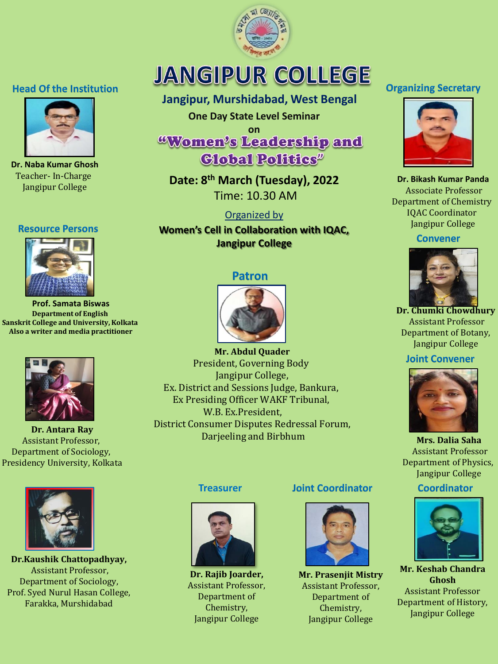

# **JANGIPUR COLLEGE**

# **Jangipur, Murshidabad, West Bengal**

**One Day State Level Seminar** 

**on Global Politics**<sup>*n*</sup>

**Date: 8th March (Tuesday), 2022** Time: 10.30 AM

## Organized by

**Women's Cell in Collaboration with IQAC, Jangipur College**

## **Patron**



**Mr. Abdul Quader** President, Governing Body Jangipur College, Ex. District and Sessions Judge, Bankura, Ex Presiding Officer WAKF Tribunal, W.B. Ex.President, District Consumer Disputes Redressal Forum, Darjeeling and Birbhum

## **Treasurer**



**Dr. Rajib Joarder,**  Assistant Professor, Department of Chemistry, Jangipur College

#### **Joint Coordinator**



**Mr. Prasenjit Mistry** Assistant Professor, Department of Chemistry, Jangipur College

## **Organizing Secretary**



**Dr. Bikash Kumar Panda** Associate Professor Department of Chemistry IQAC Coordinator Jangipur College

#### **Convener**



**Dr. Chumki Chowdhury** Assistant Professor Department of Botany, Jangipur College

## **Joint Convener**



**Mrs. Dalia Saha** Assistant Professor Department of Physics, Jangipur College

**Coordinator** 



**Mr. Keshab Chandra Ghosh**  Assistant Professor Department of History, Jangipur College

# **Head Of the Institution**



**Dr. Naba Kumar Ghosh** Teacher- In-Charge Jangipur College

#### **Resource Persons**



**Prof. Samata Biswas Department of English Sanskrit College and University, Kolkata Also a writer and media practitioner**



**Dr. Antara Ray** Assistant Professor, Department of Sociology, Presidency University, Kolkata



**Dr.Kaushik Chattopadhyay,** Assistant Professor, Department of Sociology, Prof. Syed Nurul Hasan College, Farakka, Murshidabad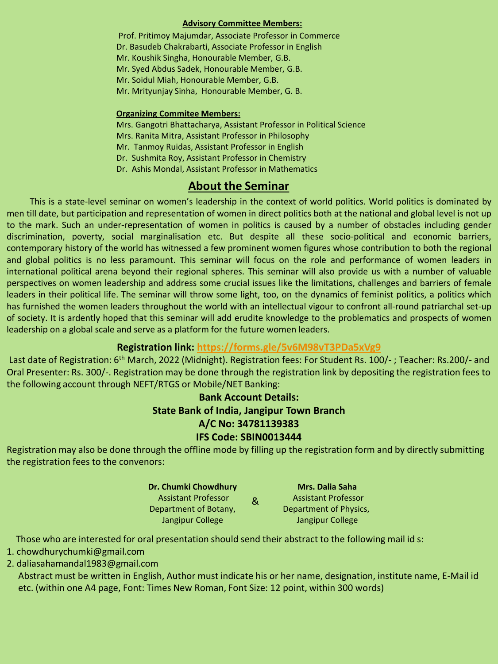#### **Advisory Committee Members:**

Prof. Pritimoy Majumdar, Associate Professor in Commerce Dr. Basudeb Chakrabarti, Associate Professor in English Mr. Koushik Singha, Honourable Member, G.B. Mr. Syed Abdus Sadek, Honourable Member, G.B. Mr. Soidul Miah, Honourable Member, G.B. Mr. Mrityunjay Sinha, Honourable Member, G. B.

#### **Organizing Commitee Members:**

Mrs. Gangotri Bhattacharya, Assistant Professor in Political Science Mrs. Ranita Mitra, Assistant Professor in Philosophy Mr. Tanmoy Ruidas, Assistant Professor in English Dr. Sushmita Roy, Assistant Professor in Chemistry Dr. Ashis Mondal, Assistant Professor in Mathematics

## **About the Seminar**

This is a state-level seminar on women's leadership in the context of world politics. World politics is dominated by men till date, but participation and representation of women in direct politics both at the national and global level is not up to the mark. Such an under-representation of women in politics is caused by a number of obstacles including gender discrimination, poverty, social marginalisation etc. But despite all these socio-political and economic barriers, contemporary history of the world has witnessed a few prominent women figures whose contribution to both the regional and global politics is no less paramount. This seminar will focus on the role and performance of women leaders in international political arena beyond their regional spheres. This seminar will also provide us with a number of valuable perspectives on women leadership and address some crucial issues like the limitations, challenges and barriers of female leaders in their political life. The seminar will throw some light, too, on the dynamics of feminist politics, a politics which has furnished the women leaders throughout the world with an intellectual vigour to confront all-round patriarchal set-up of society. It is ardently hoped that this seminar will add erudite knowledge to the problematics and prospects of women leadership on a global scale and serve as a platform for the future women leaders.

#### **Registration link: <https://forms.gle/5v6M98vT3PDa5xVg9>**

Last date of Registration: 6<sup>th</sup> March, 2022 (Midnight). Registration fees: For Student Rs. 100/-; Teacher: Rs.200/- and Oral Presenter: Rs. 300/-. Registration may be done through the registration link by depositing the registration fees to the following account through NEFT/RTGS or Mobile/NET Banking:

## **Bank Account Details: State Bank of India, Jangipur Town Branch A/C No: 34781139383 IFS Code: SBIN0013444**

Registration may also be done through the offline mode by filling up the registration form and by directly submitting the registration fees to the convenors:

| Dr. Chumki Chowdhury       |   | <b>Mrs. Dalia Saha</b>     |
|----------------------------|---|----------------------------|
| <b>Assistant Professor</b> | & | <b>Assistant Professor</b> |
| Department of Botany,      |   | Department of Physics,     |
| Jangipur College           |   | Jangipur College           |

Those who are interested for oral presentation should send their abstract to the following mail id s:

- 1. chowdhurychumki@gmail.com
- 2. daliasahamandal1983@gmail.com

Abstract must be written in English, Author must indicate his or her name, designation, institute name, E-Mail id etc. (within one A4 page, Font: Times New Roman, Font Size: 12 point, within 300 words)